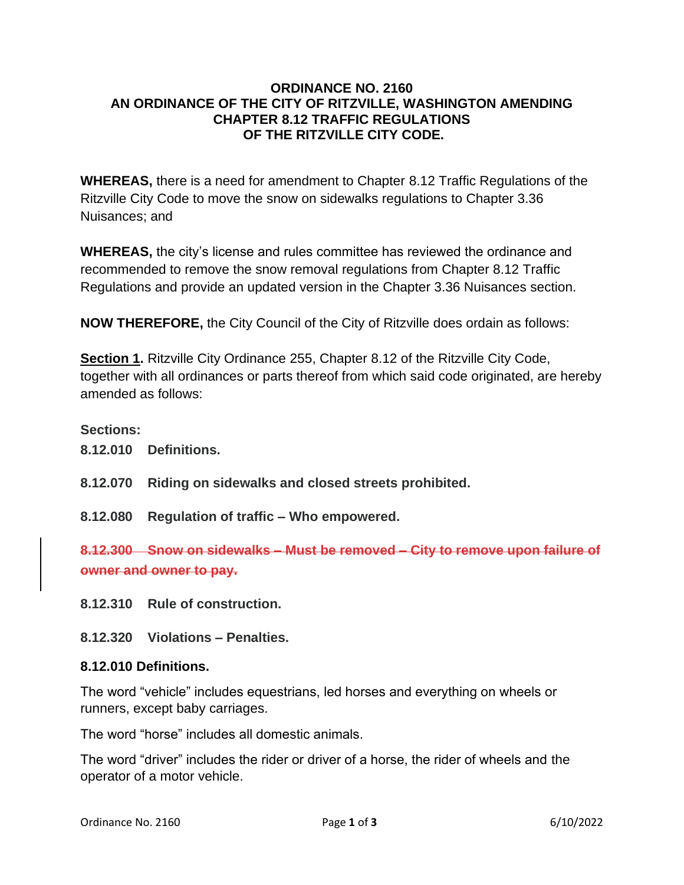#### **ORDINANCE NO. 2160 AN ORDINANCE OF THE CITY OF RITZVILLE, WASHINGTON AMENDING CHAPTER 8.12 TRAFFIC REGULATIONS OF THE RITZVILLE CITY CODE.**

**WHEREAS,** there is a need for amendment to Chapter 8.12 Traffic Regulations of the Ritzville City Code to move the snow on sidewalks regulations to Chapter 3.36 Nuisances; and

**WHEREAS,** the city's license and rules committee has reviewed the ordinance and recommended to remove the snow removal regulations from Chapter 8.12 Traffic Regulations and provide an updated version in the Chapter 3.36 Nuisances section.

**NOW THEREFORE,** the City Council of the City of Ritzville does ordain as follows:

**Section 1.** Ritzville City Ordinance 255, Chapter 8.12 of the Ritzville City Code, together with all ordinances or parts thereof from which said code originated, are hereby amended as follows:

### **Sections:**

- **8.12.010 Definitions.**
- **8.12.070 Riding on sidewalks and closed streets prohibited.**
- **8.12.080 Regulation of traffic – Who empowered.**

**8.12.300 Snow on sidewalks – Must be removed – City to remove upon failure of owner and owner to pay.**

- **8.12.310 Rule of construction.**
- **8.12.320 Violations – Penalties.**

### **8.12.010 Definitions.**

The word "vehicle" includes equestrians, led horses and everything on wheels or runners, except baby carriages.

The word "horse" includes all domestic animals.

The word "driver" includes the rider or driver of a horse, the rider of wheels and the operator of a motor vehicle.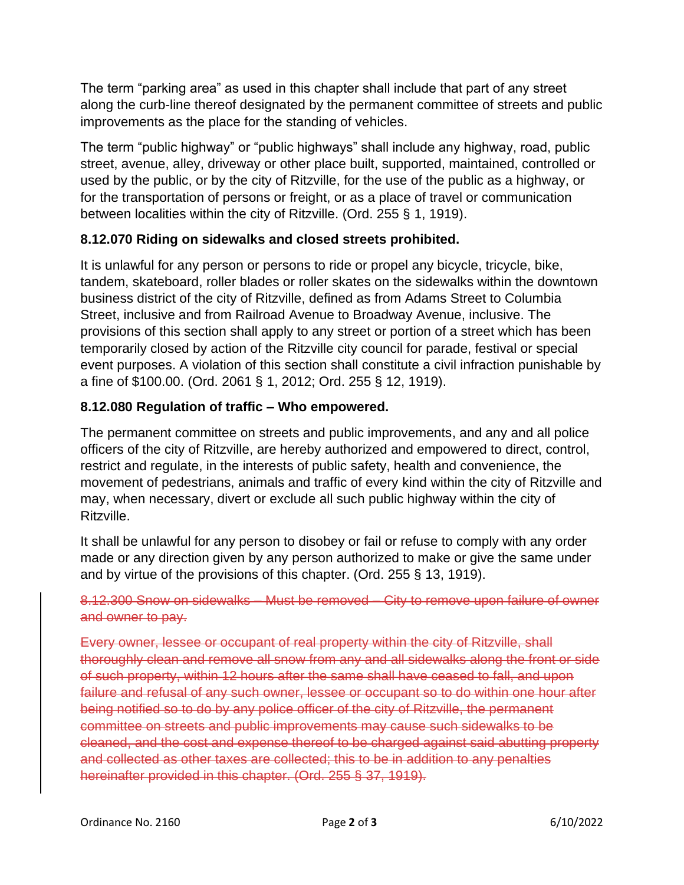The term "parking area" as used in this chapter shall include that part of any street along the curb-line thereof designated by the permanent committee of streets and public improvements as the place for the standing of vehicles.

The term "public highway" or "public highways" shall include any highway, road, public street, avenue, alley, driveway or other place built, supported, maintained, controlled or used by the public, or by the city of Ritzville, for the use of the public as a highway, or for the transportation of persons or freight, or as a place of travel or communication between localities within the city of Ritzville. (Ord. 255 § 1, 1919).

## **8.12.070 Riding on sidewalks and closed streets prohibited.**

It is unlawful for any person or persons to ride or propel any bicycle, tricycle, bike, tandem, skateboard, roller blades or roller skates on the sidewalks within the downtown business district of the city of Ritzville, defined as from Adams Street to Columbia Street, inclusive and from Railroad Avenue to Broadway Avenue, inclusive. The provisions of this section shall apply to any street or portion of a street which has been temporarily closed by action of the Ritzville city council for parade, festival or special event purposes. A violation of this section shall constitute a civil infraction punishable by a fine of \$100.00. (Ord. 2061 § 1, 2012; Ord. 255 § 12, 1919).

# **8.12.080 Regulation of traffic – Who empowered.**

The permanent committee on streets and public improvements, and any and all police officers of the city of Ritzville, are hereby authorized and empowered to direct, control, restrict and regulate, in the interests of public safety, health and convenience, the movement of pedestrians, animals and traffic of every kind within the city of Ritzville and may, when necessary, divert or exclude all such public highway within the city of Ritzville.

It shall be unlawful for any person to disobey or fail or refuse to comply with any order made or any direction given by any person authorized to make or give the same under and by virtue of the provisions of this chapter. (Ord. 255 § 13, 1919).

# 8.12.300 Snow on sidewalks – Must be removed – City to remove upon failure of owner and owner to pay.

Every owner, lessee or occupant of real property within the city of Ritzville, shall thoroughly clean and remove all snow from any and all sidewalks along the front or side of such property, within 12 hours after the same shall have ceased to fall, and upon failure and refusal of any such owner, lessee or occupant so to do within one hour after being notified so to do by any police officer of the city of Ritzville, the permanent committee on streets and public improvements may cause such sidewalks to be cleaned, and the cost and expense thereof to be charged against said abutting property and collected as other taxes are collected; this to be in addition to any penalties hereinafter provided in this chapter. (Ord. 255 § 37, 1919).